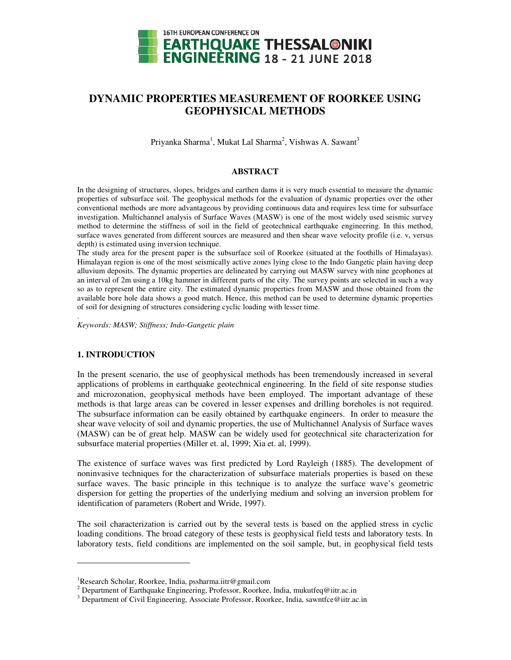

# **DYNAMIC PROPERTIES MEASUREMENT OF ROORKEE U GEOPHYSICAL METHODS METHODS**

Priyanka Sharma<sup>1</sup>, Mukat Lal Sharma<sup>2</sup>, Vishwas A. Sawant<sup>3</sup>

## **ABSTRACT**

In the designing of structures, slopes, bridges and earthen dams it is very much essential to measure the dynamic properties of subsurface soil. The geophysical methods for the evaluation of dynamic properties over the other conventional methods are more advantageous by providing continuous data and requires less time for subsurface investigation. Multichannel analysis of Surface Waves (MASW) is one of the most widely used seismic survey method to determine the stiffness of soil in the field of geotechnical earthquake engineering. In this method, surface waves generated from different sources are measured and then shear wave velocity profile (i.e. v<sub>s</sub> versus depth) is estimated using inversion technique. subsurface soil. The geophysical methods for the evaluation of dynamic properties over the other methods are more advantageous by providing continuous data and requires less time for subsurface Multichannel analysis of Sur In the designing of structures, slopes, bridges and earthen dams it is very much essential to measure the d<br>properties of subsurface soil. The geophysical methods for the evaluation of dynamic properties over th<br>conventio

depth) is estimated using inversion technique.<br>The study area for the present paper is the subsurface soil of Roorkee (situated at the foothills of Himalayas). Himalayan region is one of the most seismically active zones lying close to the Indo Gangetic plain having deep alluvium deposits. The dynamic properties are delineated by carrying out MASW survey with nine geophones at an interval of 2m using a 10kg hammer in different parts of the city. The survey points are selected in such a way so as to represent the entire city. The estimated dynamic properties from MASW and those obtained from the available bore hole data shows a good match. Hence, this method can be used to determine dynamic properties of soil for designing of structures considering cyclic loading with lesser time. of 2m using a 10kg hammer in different parts of the city. The survey points are selected in such a way<br>present the entire city. The estimated dynamic properties from MASW and those obtained from the<br>ore hole data shows a g Himalayan region is one of the most seismically active zones lying close to the alluvium deposits. The dynamic properties are delineated by carrying out MASV an interval of 2m using a 10kg hammer in different parts of the

. *Keywords: MASW; Stiffness; Indo-Gangetic plain Gangetic* 

### **1. INTRODUCTION**

 $\overline{a}$ 

In the present scenario, the use of geophysical methods has been tremendously increased in several In the present scenario, the use of geophysical methods has been tremendously increased in several applications of problems in earthquake geotechnical engineering. In the field of site response studies and microzonation, geophysical methods have been employed. The important advantage of these methods is that large areas can be covered in lesser expenses and drilling boreholes is not required. methods is that large areas can be covered in lesser expenses and drilling boreholes is not required.<br>The subsurface information can be easily obtained by earthquake engineers. In order to measure the shear wave velocity of soil and dynamic properties, the use of Multichannel Analysis of Surface waves (MASW) can be of great help. MASW can be widely used for geotechnical site characterization for subsurface material properties (Miller et. al, 1999; Xia et. al, 1999). (MASW) can be of great help. MASW can be widely used for geotechnical site characterization for subsurface material properties (Miller et. al, 1999; Xia et. al, 1999).<br>The existence of surface waves was first predicted by **ENT OF ROORKEE USING**<br>
THODS<br>
Vishwas A. Sawant<sup>3</sup><br>
is very much essential to measure the dynar<br>
valuation of dynamic properties over the otlowing<br>
data and requires less time for subsurface<br>
is one of the most widely use and microzonation, geophysical methods have been employed. The important advantage of these methods is that large areas can be covered in lesser expenses and drilling boreholes is not required. The subsurface information c

noninvasive techniques for the characterization of subsurface materials properties is based on these noninvasive techniques for the characterization of subsurface materials properties is base<br>surface waves. The basic principle in this technique is to analyze the surface wave's dispersion for getting the properties of the underlying medium and solving an inversion problem for dispersion for getting the properties of the underlying identification of parameters (Robert and Wride, 1997).

The soil characterization is carried out by the several tests is based on the applied stress in cyclic loading conditions. The broad category of these tests is geophysical field tests and laboratory tests. In loading conditions. The broad category of these tests is geophysical field tests and laboratory tests. In<br>laboratory tests, field conditions are implemented on the soil sample, but, in geophysical field tests dispersion for getting the properties of the underlying medium and solving an inversion problem for identification of parameters (Robert and Wride, 1997).<br>The soil characterization is carried out by the several tests is ba

<sup>&</sup>lt;sup>1</sup>Research Scholar, Roorkee, India, pssharma.iitr@gmail.com

 $^1$ Research Scholar, Roorkee, India, pssharma.iitr@gmail.com<br><sup>2</sup> Department of Earthquake Engineering, Professor, Roorkee, India, mukutfeq@iitr.ac.in

<sup>&</sup>lt;sup>3</sup> Department of Civil Engineering, Associate Professor, Roorkee, India, sawntfce@iitr.ac.in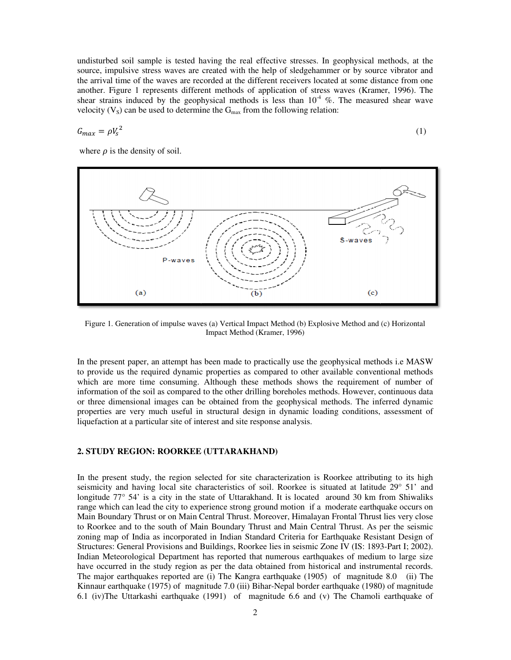undisturbed soil sample is tested having the real effective stresses. In geophysical methods, at the source, impulsive stress waves are created with the help of sledgehammer or by source vibrator and the arrival time of the waves are recorded at the different receivers located at some dis another. Figure 1 represents different methods of application of stress waves (Kramer, 1996). The shear strains induced by the geophysical methods is less than  $10<sup>4</sup>$  %. The measured shear wave velocity ( $V_s$ ) can be used to determine the  $G_{\text{max}}$  from the following relation:

$$
G_{\text{max}} = \rho V_s^2 \tag{1}
$$

where  $\rho$  is the density of soil.



Figure 1. Generation of impulse waves (a) Vertical Impact Method (b) Explosive Method and (c) Horizontal Impact Method (Kramer, 1996)

In the present paper, an attempt has been made to practically use the geophysical methods i.e MASW to provide us the required dynamic properties as compared to other available conventional methods In the present paper, an attempt has been made to practically use the geophysical methods i.e MASW<br>to provide us the required dynamic properties as compared to other available conventional methods<br>which are more time consu information of the soil as compared to the other drilling boreholes methods. However, continuous data or three dimensional images can be obtained from the geophysical methods. The inferred dynamic properties are very much useful in structural design in dynamic loading conditions, assessment of liquefaction at a particular site of interest and site response analysis.

#### **2. STUDY REGION: ROORKEE (UTTARAKHAND) REGION:**

In the present study, the region selected for site characterization is Roorkee attributing to its high In the present study, the region selected for site characterization is Roorkee attributing to its high seismicity and having local site characteristics of soil. Roorkee is situated at latitude 29° 51' and longitude 77° 54' is a city in the state of Uttarakhand. It is located around 30 km from Shiwaliks range which can lead the city to experience strong ground motion if a moderate earthquake occurs on range which can lead the city to experience strong ground motion if a moderate earthquake occurs on Main Central Thrust. Moreover, Himalayan Frontal Thrust lies very close to Roorkee and to the south of Main Boundary Thrust and Main Central Thrust. As per the seismic zoning map of India as incorporated in Indian Standard Criteria for Earthquake Resistant Design of zoning map of India as incorporated in Indian Standard Criteria for Earthquake Resist<br>Structures: General Provisions and Buildings, Roorkee lies in seismic Zone IV (IS: 1893 Indian Meteorological Department has reported that numerous earthquakes of medium to large size have occurred in the study region as per the data obtained from historical and instrumental records. Indian Meteorological Department has reported that numerous earthquakes of medium to large size<br>have occurred in the study region as per the data obtained from historical and instrumental records.<br>The major earthquakes rep Kinnaur earthquake (1975) of magnitude 7.0 (iii) Bihar Bihar-Nepal border earthquake (1980) of magnitude 6.1 (iv)The Uttarkashi earthquake (1991) of magnitude 6.6 and (v) The Chamoli In the present paper, an attempt has been made to practically use the geophysical methods i.e MASW<br>to provide us the required dynamic properties as compared to other available conventional methods<br>information of the soil a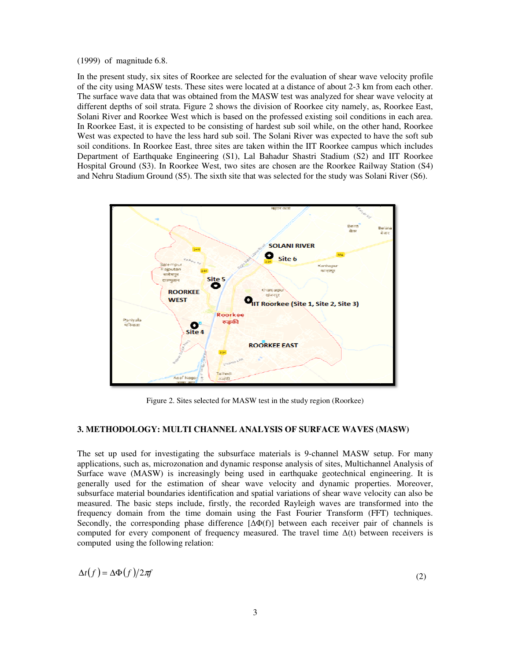#### (1999) of magnitude 6.8.

In the present study, six sites of Roorkee are selected for the evaluation of shear wave velocity profile In the present study, six sites of Roorkee are selected for the evaluation of shear wave velocity profile of the city using MASW tests. These sites were located at a distance of about 2-3 km from each other. The surface wave data that was obtained from the MASW test was analyzed for shear wave velocity at The surface wave data that was obtained from the MASW test was analyzed for shear wave velocity at different depths of soil strata. Figure 2 shows the division of Roorkee city namely, as, Roorkee East, Solani River and Roorkee West which is based on the professed existing soil conditions in each area. In Roorkee East, it is expected to be consisting of hardest sub soil while, on the other hand, Roorkee West was expected to have the less hard sub soil. The Solani River was expected to have the soft sub soil conditions. In Roorkee East, three sites are taken within the IIT Roorkee campus which includes soil conditions. In Roorkee East, three sites are taken within the IIT Roorkee campus which includes<br>Department of Earthquake Engineering (S1), Lal Bahadur Shastri Stadium (S2) and IIT Roorkee Hospital Ground (S3). In Roorkee West, two sites are chosen are the Roorke Roorkee Railway Station (S4) and Nehru Stadium Ground (S5). The sixth site that was selected for the study was Solani River (S6). In the present study, six sites of Roorkee are selected for the evaluation of shear wave velocity of the city using MASW tests. These sites were located at a distance of about 2-3 km from each The surface wave data that wa



Figure 2. Sites selected for MASW test in the study region (Roorkee)

#### **3. METHODOLOGY: MULTI CHANNEL ANALYSIS OF SURFACE WAVES (MASW)**

The set up used for investigating the subsurface materials is 9-channel MASW setup. For many applications, such as, microzonation and dynamic response analysis of sites, Multichannel Analysis of applications, such as, microzonation and dynamic response analysis of sites, Multichannel Analysis of<br>Surface wave (MASW) is increasingly being used in earthquake geotechnical engineering. It is generally used for the estimation of shear wave velocity and dynamic properties. Moreover, subsurface material boundaries identification and spatial variations of shear wave velocity can also be generally used for the estimation of shear wave velocity and dynamic properties. Moreover, subsurface material boundaries identification and spatial variations of shear wave velocity can also be measured. The basic steps i frequency domain from the time domain using the Fast Fourier Transform (FFT) techniques. Secondly, the corresponding phase difference [ΔΦ(f)] between each receiver pair computed for every component of frequency measured. The travel time ∆(t) between receivers is computed using the following relation:<br>  $\Delta t(f) = \Delta \Phi(f)/2\pi f$ The set up used for investigating the subsurface materials is 9-channel MASW setup. For many applications, such as, microzonation and dynamic response analysis of sites, Multichannel Analysis of Surface wave (MASW) is inc

$$
\Delta t(f) = \Delta \Phi(f)/2\pi f
$$

(2)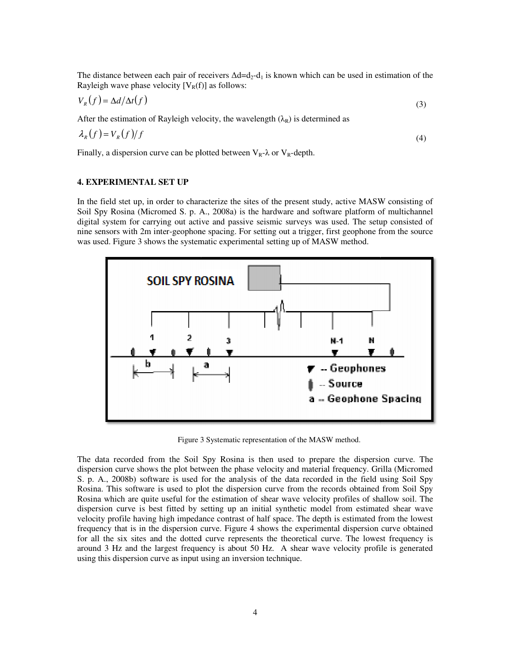The distance between each pair of receivers  $\Delta d = d_2 - d_1$  is known which can be used in es Rayleigh wave phase velocity  $[V_R(f)]$  as follows:

$$
V_R(f) = \Delta d/\Delta t(f) \tag{3}
$$

After the estimation of Rayleigh velocity, the wavelength  $(\lambda_R)$  is determined as

$$
\lambda_R(f) = V_R(f)/f \tag{4}
$$

Finally, a dispersion curve can be plotted between  $V_R$ - $\lambda$  or  $V_R$ -depth.

#### **4. EXPERIMENTAL SET UP**

In the field stet up, in order to characterize the sites of the present study, active MASW consisting of In the field stet up, in order to characterize the sites of the present study, active MASW consisting of Soil Spy Rosina (Micromed S. p. A., 2008a) is the hardware and software platform of multichannel digital system for carrying out active and passive seismic surveys was used. The setup consisted of nine sensors with 2m inter-geophone spacing. For setting out a trigger, first geophone from the source was used. Figure 3 shows the systematic experimental setting up of MASW method.



Figure 3 Systematic representation of the MASW method.

The data recorded from the Soil Spy Rosina is then used to prepare the dispersion curve. The dispersion curve shows the plot between the phase velocity and material frequency. Grilla (Micromed S. p. A., 2008b) software is used for the analysis of the data recorded in the field using Soil Spy Rosina. This software is used to plot the dispersion curve from the records obtained from Soil Spy Rosina which are quite useful for the estimation of shear wave velocity profiles of shallow soil. The dispersion curve is best fitted by setting up an initial synthetic model from estimated shear wave velocity profile having high impedance contrast of half space. The depth is estimated from the lowest frequency that is in the dispersion curve. Figure 4 shows the experimental dispersion curve obtained for all the six sites and the dotted curve represents the theoretical curve. The lowest frequency is for all the six sites and the dotted curve represents the theoretical curve. The lowest frequency is around 3 Hz and the largest frequency is about 50 Hz. A shear wave velocity profile is generated using this dispersion curve as input using an inversion technique. Rosina. This software is used to plot the dispersion curve from the records obtained from<br>Rosina which are quite useful for the estimation of shear wave velocity profiles of shallow<br>dispersion curve is best fitted by setti S. p. A., 2008b) software is used for the analysis of the data recorded in the field using Soil Spy<br>Rosina. This software is used to plot the dispersion curve from the records obtained from Soil Spy<br>Rosina which are quite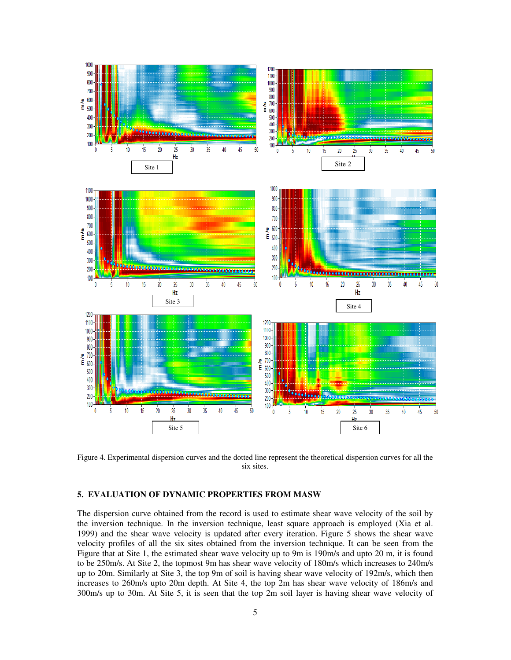

Figure 4. Experimental dispersion curves and the dotted line represent the theoretical dispersion curves for all the six sites.

## **5. EVALUATION OF DYNAMIC PROPERTIES FROM MASW**

The dispersion curve obtained from the record is used to estimate shear wave velocity of the soil by the inversion technique. In the inversion technique, least square approach is employed (Xia et al. 1999) and the shear wave velocity is updated after every iteration. Figure 5 shows the shear wave velocity profiles of all the six sites obtained from the inversion technique. It can be seen from the Figure that at Site 1, the estimated shear wave velocity up to 9m is 190m/s and upto 20 m, it is found to be 250m/s. At Site 2, the topmost 9m has shear wave velocity of 180m/s which increases to 240m/s up to 20m. Similarly at Site 3, the top 9m of soil is having shear wave velocity of 192m/s, which then increases to 260m/s upto 20m depth. At Site 4, the top 2m has shear wave velocity of 186m/s and 300m/s up to 30m. At Site 5, it is seen that the top 2m soil layer is having shear wave velocity of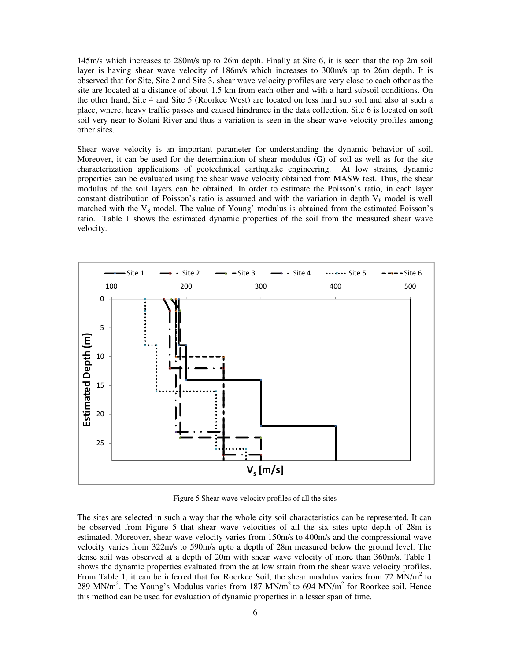145m/s which increases to 280m/s up to 26m depth. Finally at Site 6, it is seen that the top 2m soil layer is having shear wave velocity of 186m/s which increases to 300m/s up to 26m depth. It is observed that for Site, Site 2 and Site 3, shear wave velocity profiles are very close to each other as the site are located at a distance of about 1.5 km from each other and with a hard subsoil conditions. On the other hand, Site 4 and Site 5 (Roorkee West) are located on less hard sub soil and also at such a place, where, heavy traffic passes and caused hindrance in the data collection. Site 6 is located on soft soil very near to Solani River and thus a variation is seen in the shear wave velocity profiles among other sites.

Shear wave velocity is an important parameter for understanding the dynamic behavior of soil. Moreover, it can be used for the determination of shear modulus (G) of soil as well as for the site characterization applications of geotechnical earthquake engineering. At low strains, dynamic properties can be evaluated using the shear wave velocity obtained from MASW test. Thus, the shear modulus of the soil layers can be obtained. In order to estimate the Poisson's ratio, in each layer constant distribution of Poisson's ratio is assumed and with the variation in depth  $V<sub>P</sub>$  model is well matched with the  $V<sub>S</sub>$  model. The value of Young' modulus is obtained from the estimated Poisson's ratio. Table 1 shows the estimated dynamic properties of the soil from the measured shear wave velocity.



Figure 5 Shear wave velocity profiles of all the sites

The sites are selected in such a way that the whole city soil characteristics can be represented. It can be observed from Figure 5 that shear wave velocities of all the six sites upto depth of 28m is estimated. Moreover, shear wave velocity varies from 150m/s to 400m/s and the compressional wave velocity varies from 322m/s to 590m/s upto a depth of 28m measured below the ground level. The dense soil was observed at a depth of 20m with shear wave velocity of more than 360m/s. Table 1 shows the dynamic properties evaluated from the at low strain from the shear wave velocity profiles. From Table 1, it can be inferred that for Roorkee Soil, the shear modulus varies from 72 MN/m<sup>2</sup> to 289 MN/m<sup>2</sup>. The Young's Modulus varies from 187 MN/m<sup>2</sup> to 694 MN/m<sup>2</sup> for Roorkee soil. Hence this method can be used for evaluation of dynamic properties in a lesser span of time.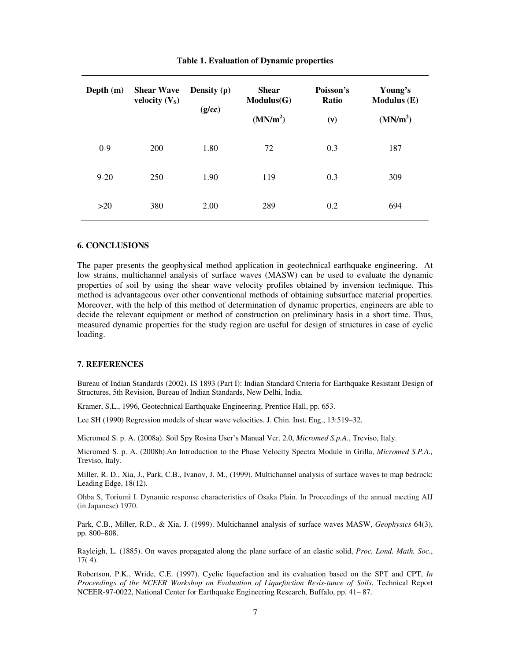| Depth $(m)$ | <b>Shear Wave</b><br>velocity $(VS)$ | Density $(\rho)$<br>(g/cc) | <b>Shear</b><br>Modulus(G)<br>(MN/m <sup>2</sup> ) | Poisson's<br><b>Ratio</b><br>(v) | Young's<br><b>Modulus</b> (E)<br>(MN/m <sup>2</sup> ) |
|-------------|--------------------------------------|----------------------------|----------------------------------------------------|----------------------------------|-------------------------------------------------------|
| $0-9$       | 200                                  | 1.80                       | 72                                                 | 0.3                              | 187                                                   |
| $9 - 20$    | 250                                  | 1.90                       | 119                                                | 0.3                              | 309                                                   |
| >20         | 380                                  | 2.00                       | 289                                                | 0.2                              | 694                                                   |

#### **Table 1. Evaluation of Dynamic properties**

#### **6. CONCLUSIONS**

The paper presents the geophysical method application in geotechnical earthquake engineering. At low strains, multichannel analysis of surface waves (MASW) can be used to evaluate the dynamic properties of soil by using the shear wave velocity profiles obtained by inversion technique. This method is advantageous over other conventional methods of obtaining subsurface material properties. Moreover, with the help of this method of determination of dynamic properties, engineers are able to decide the relevant equipment or method of construction on preliminary basis in a short time. Thus, measured dynamic properties for the study region are useful for design of structures in case of cyclic loading.

#### **7. REFERENCES**

Bureau of Indian Standards (2002). IS 1893 (Part I): Indian Standard Criteria for Earthquake Resistant Design of Structures, 5th Revision, Bureau of Indian Standards, New Delhi, India.

Kramer, S.L., 1996, Geotechnical Earthquake Engineering, Prentice Hall, pp. 653.

Lee SH (1990) Regression models of shear wave velocities. J. Chin. Inst. Eng., 13:519–32.

Micromed S. p. A. (2008a). Soil Spy Rosina User's Manual Ver. 2.0, *Micromed S.p.A*., Treviso, Italy.

Micromed S. p. A. (2008b).An Introduction to the Phase Velocity Spectra Module in Grilla, *Micromed S.P.A.,* Treviso, Italy.

Miller, R. D., Xia, J., Park, C.B., Ivanov, J. M., (1999). Multichannel analysis of surface waves to map bedrock: Leading Edge, 18(12).

Ohba S, Toriumi I. Dynamic response characteristics of Osaka Plain. In Proceedings of the annual meeting AIJ (in Japanese) 1970.

Park, C.B., Miller, R.D., & Xia, J. (1999). Multichannel analysis of surface waves MASW, *Geophysics* 64(3), pp. 800–808.

Rayleigh, L. (1885). On waves propagated along the plane surface of an elastic solid, *Proc. Lond. Math. Soc*., 17( 4).

Robertson, P.K., Wride, C.E. (1997). Cyclic liquefaction and its evaluation based on the SPT and CPT, *In Proceedings of the NCEER Workshop on Evaluation of Liquefaction Resis-tance of Soils*, Technical Report NCEER-97-0022, National Center for Earthquake Engineering Research, Buffalo, pp. 41– 87.